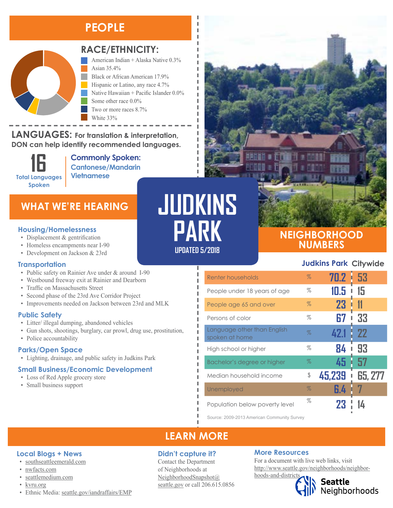## **PEOPLE**



### **RACE/ETHNICITY:**

American Indian + Alaska Native 0.3% Asian 35.4% Black or African American 17.9% Hispanic or Latino, any race 4.7% Native Hawaiian + Pacific Islander 0.0% Some other race 0.0% Two or more races 8.7% White 33%

**LANGUAGES:** For translation & interpretation, DON can help identify recommended languages. Native Hawaiian and Other Pacific Islander Some Other Race

> **16 Total Languages Spoken**

**Commonly Spoken: Cantonese/Mandarin Vietnamese**

### **WHAT WE'RE HEARING**

#### **Housing/Homelessness**

- Displacement & gentrification
- Homeless encampments near I-90
- Development on Jackson & 23rd

#### **Transportation**

- Public safety on Rainier Ave under & around I-90
- Westbound freeway exit at Rainier and Dearborn
- Traffic on Massachusetts Street
- Second phase of the 23rd Ave Corridor Project
- Improvements needed on Jackson between 23rd and MLK

#### **Public Safety**

- Litter/ illegal dumping, abandoned vehicles
- Gun shots, shootings, burglary, car prowl, drug use, prostitution,
- Police accountability

#### **Parks/Open Space**

• Lighting, drainage, and public safety in Judkins Park

#### **Small Business/Economic Development**

- Loss of Red Apple grocery store
- Small business support

# **JUDKINS PARK**

л I

Л

#### **UPDATED 5/2018**

# **NEIGHBORHOOD NUMBERS**

#### **Judkins Park Citywide**

| Renter households                             | $\%$ | 70.2   | l 53           |
|-----------------------------------------------|------|--------|----------------|
| People under 18 years of age                  | %    | 10.5   | 15             |
| People age 65 and over                        | $\%$ | 23     |                |
| Persons of color                              | %    | 67     | 33             |
| Language other than English<br>spoken at home | $\%$ | 42.1   | -22            |
| High school or higher                         | %    | 84     | 93             |
| Bachelor's degree or higher                   | %    | 45     | 57             |
| Median household income                       | \$   | 45,239 | <b>65, 277</b> |
| Unemployed                                    | $\%$ | 6.4    |                |
| Population below poverty level                | %    | 23     |                |

Source: 2009-2013 American Community Survey

## **LEARN MORE**

#### **Didn't capture it?**

Contact the Department of Neighborhoods at [NeighborhoodSnapshot@](mailto:NeighborhoodSnapshot%40%0Aseattle.gov?subject=) [seattle.gov](mailto:NeighborhoodSnapshot%40%0Aseattle.gov?subject=) or call 206.615.0856

#### **More Resources**

For a document with live web links, visit [http://www.seattle.gov/neighborhoods/neighbor](http://www.seattle.gov/neighborhoods/neighborhoods-and-districts)[hoods-and-districts](http://www.seattle.gov/neighborhoods/neighborhoods-and-districts)



Seattle<br>Neighborhoods

#### **Local Blogs + News**

- [southseattleemerald.com](https://southseattleemerald.com/)
- [nwfacts.com](http://www.nwfacts.com/)
- [seattlemedium.com](http://seattlemedium.com/)
- [kvru.org](http://kvru.org/)
- Ethnic Media: [seattle.gov/iandraffairs/EMP](http://www.seattle.gov/iandraffairs/EMP)